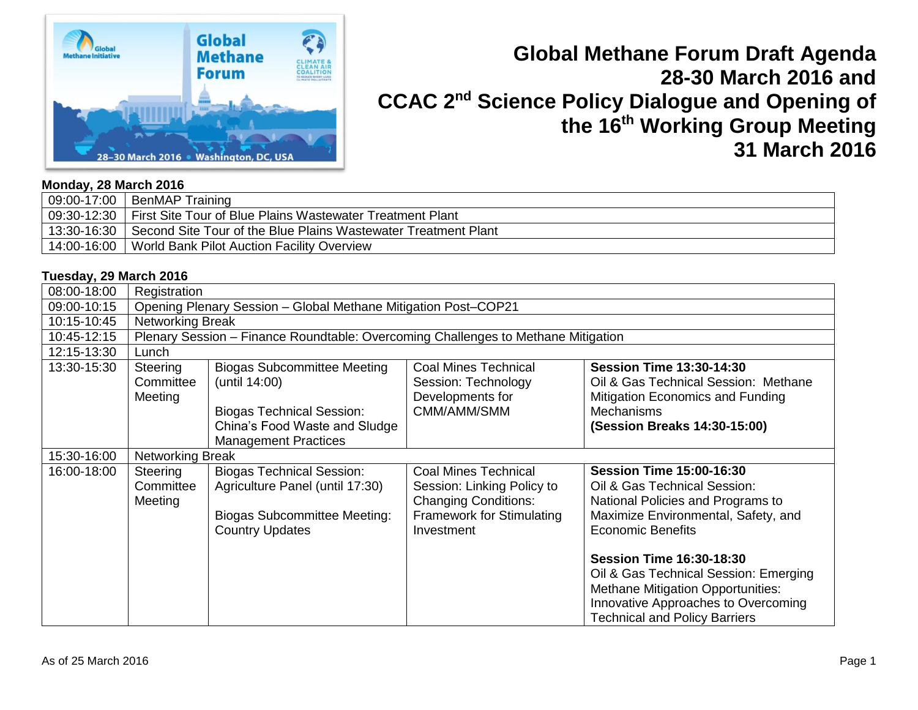

# **Global Methane Forum Draft Agenda 28-30 March 2016 and CCAC 2nd Science Policy Dialogue and Opening of the 16th Working Group Meeting 31 March 2016**

### **Monday, 28 March 2016**

| $\frac{1}{2}$ 09:00-17:00   BenMAP Training                                  |
|------------------------------------------------------------------------------|
| 109:30-12:30   First Site Tour of Blue Plains Wastewater Treatment Plant     |
| 13:30-16:30   Second Site Tour of the Blue Plains Wastewater Treatment Plant |
| 14:00-16:00   World Bank Pilot Auction Facility Overview                     |

### **Tuesday, 29 March 2016**

| 08:00-18:00 | Registration                     |                                                                                                                                                         |                                                                                                                                            |                                                                                                                                                                                                     |  |
|-------------|----------------------------------|---------------------------------------------------------------------------------------------------------------------------------------------------------|--------------------------------------------------------------------------------------------------------------------------------------------|-----------------------------------------------------------------------------------------------------------------------------------------------------------------------------------------------------|--|
| 09:00-10:15 |                                  | Opening Plenary Session - Global Methane Mitigation Post-COP21                                                                                          |                                                                                                                                            |                                                                                                                                                                                                     |  |
| 10:15-10:45 |                                  | <b>Networking Break</b>                                                                                                                                 |                                                                                                                                            |                                                                                                                                                                                                     |  |
| 10:45-12:15 |                                  | Plenary Session - Finance Roundtable: Overcoming Challenges to Methane Mitigation                                                                       |                                                                                                                                            |                                                                                                                                                                                                     |  |
| 12:15-13:30 | Lunch                            |                                                                                                                                                         |                                                                                                                                            |                                                                                                                                                                                                     |  |
| 13:30-15:30 | Steering<br>Committee<br>Meeting | <b>Biogas Subcommittee Meeting</b><br>(until 14:00)<br><b>Biogas Technical Session:</b><br>China's Food Waste and Sludge<br><b>Management Practices</b> | <b>Coal Mines Technical</b><br>Session: Technology<br>Developments for<br>CMM/AMM/SMM                                                      | <b>Session Time 13:30-14:30</b><br>Oil & Gas Technical Session: Methane<br>Mitigation Economics and Funding<br><b>Mechanisms</b><br>(Session Breaks 14:30-15:00)                                    |  |
| 15:30-16:00 |                                  | Networking Break                                                                                                                                        |                                                                                                                                            |                                                                                                                                                                                                     |  |
| 16:00-18:00 | Steering<br>Committee<br>Meeting | <b>Biogas Technical Session:</b><br>Agriculture Panel (until 17:30)<br><b>Biogas Subcommittee Meeting:</b><br><b>Country Updates</b>                    | <b>Coal Mines Technical</b><br>Session: Linking Policy to<br><b>Changing Conditions:</b><br><b>Framework for Stimulating</b><br>Investment | <b>Session Time 15:00-16:30</b><br>Oil & Gas Technical Session:<br>National Policies and Programs to<br>Maximize Environmental, Safety, and<br><b>Economic Benefits</b>                             |  |
|             |                                  |                                                                                                                                                         |                                                                                                                                            | <b>Session Time 16:30-18:30</b><br>Oil & Gas Technical Session: Emerging<br><b>Methane Mitigation Opportunities:</b><br>Innovative Approaches to Overcoming<br><b>Technical and Policy Barriers</b> |  |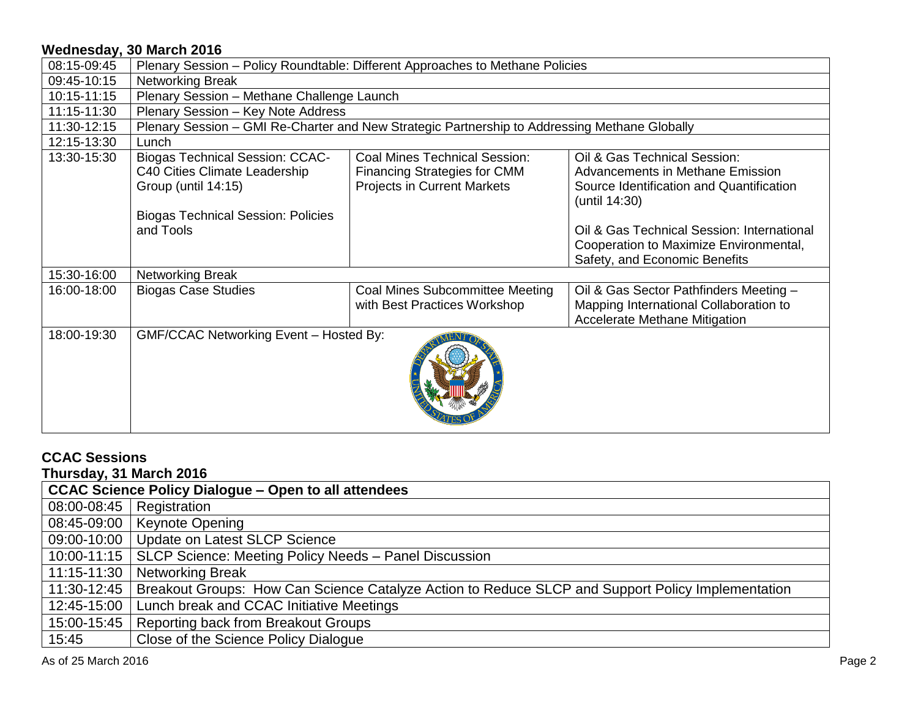| 08:15-09:45 | Plenary Session - Policy Roundtable: Different Approaches to Methane Policies                                                                            |                                                                                                                   |                                                                                                                                                                                                                                                        |  |
|-------------|----------------------------------------------------------------------------------------------------------------------------------------------------------|-------------------------------------------------------------------------------------------------------------------|--------------------------------------------------------------------------------------------------------------------------------------------------------------------------------------------------------------------------------------------------------|--|
| 09:45-10:15 | <b>Networking Break</b>                                                                                                                                  |                                                                                                                   |                                                                                                                                                                                                                                                        |  |
| 10:15-11:15 | Plenary Session - Methane Challenge Launch                                                                                                               |                                                                                                                   |                                                                                                                                                                                                                                                        |  |
| 11:15-11:30 | Plenary Session - Key Note Address                                                                                                                       |                                                                                                                   |                                                                                                                                                                                                                                                        |  |
| 11:30-12:15 |                                                                                                                                                          | Plenary Session - GMI Re-Charter and New Strategic Partnership to Addressing Methane Globally                     |                                                                                                                                                                                                                                                        |  |
| 12:15-13:30 | Lunch                                                                                                                                                    |                                                                                                                   |                                                                                                                                                                                                                                                        |  |
| 13:30-15:30 | <b>Biogas Technical Session: CCAC-</b><br>C40 Cities Climate Leadership<br>Group (until 14:15)<br><b>Biogas Technical Session: Policies</b><br>and Tools | <b>Coal Mines Technical Session:</b><br><b>Financing Strategies for CMM</b><br><b>Projects in Current Markets</b> | Oil & Gas Technical Session:<br>Advancements in Methane Emission<br>Source Identification and Quantification<br>(until 14:30)<br>Oil & Gas Technical Session: International<br>Cooperation to Maximize Environmental,<br>Safety, and Economic Benefits |  |
| 15:30-16:00 | Networking Break                                                                                                                                         |                                                                                                                   |                                                                                                                                                                                                                                                        |  |
| 16:00-18:00 | <b>Biogas Case Studies</b>                                                                                                                               | Coal Mines Subcommittee Meeting<br>with Best Practices Workshop                                                   | Oil & Gas Sector Pathfinders Meeting -<br>Mapping International Collaboration to<br><b>Accelerate Methane Mitigation</b>                                                                                                                               |  |
| 18:00-19:30 | GMF/CCAC Networking Event - Hosted By:                                                                                                                   |                                                                                                                   |                                                                                                                                                                                                                                                        |  |

#### **CCAC Sessions Thursday, 31 March 2016**

| THUISUAY, 31 MAICH ZUTO                                     |                                                                                                   |  |
|-------------------------------------------------------------|---------------------------------------------------------------------------------------------------|--|
| <b>CCAC Science Policy Dialogue - Open to all attendees</b> |                                                                                                   |  |
| 08:00-08:45                                                 | Registration                                                                                      |  |
| 08:45-09:00                                                 | <b>Keynote Opening</b>                                                                            |  |
| 09:00-10:00                                                 | Update on Latest SLCP Science                                                                     |  |
| 10:00-11:15                                                 | SLCP Science: Meeting Policy Needs - Panel Discussion                                             |  |
| 11:15-11:30                                                 | <b>Networking Break</b>                                                                           |  |
| 11:30-12:45                                                 | Breakout Groups: How Can Science Catalyze Action to Reduce SLCP and Support Policy Implementation |  |
| 12:45-15:00                                                 | Lunch break and CCAC Initiative Meetings                                                          |  |
| 15:00-15:45                                                 | <b>Reporting back from Breakout Groups</b>                                                        |  |
| 15:45                                                       | Close of the Science Policy Dialogue                                                              |  |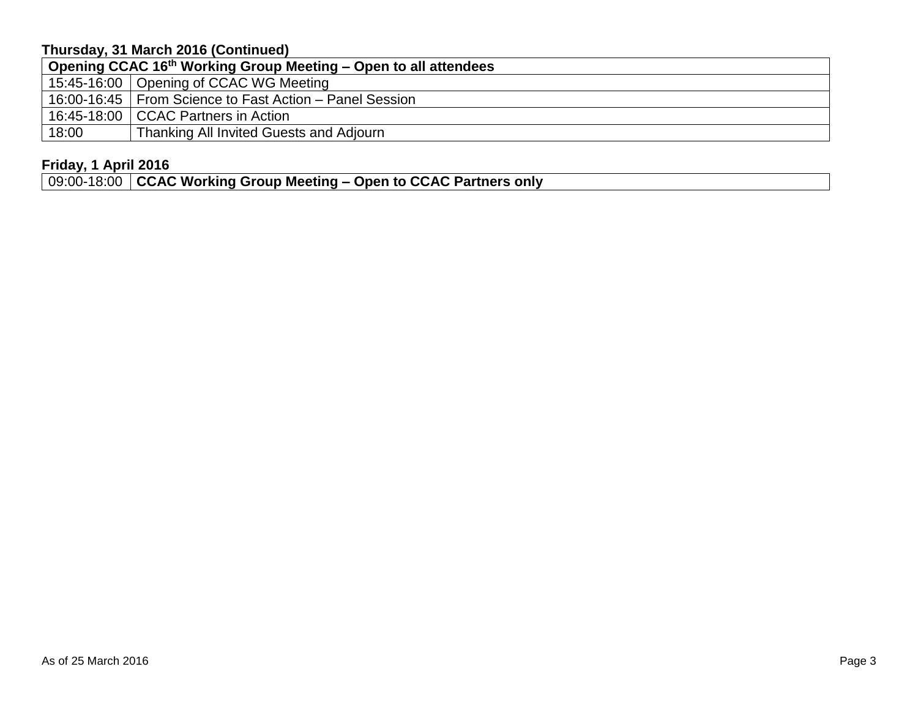# **Thursday, 31 March 2016 (Continued)**

| Opening CCAC 16 <sup>th</sup> Working Group Meeting – Open to all attendees |                                                           |  |
|-----------------------------------------------------------------------------|-----------------------------------------------------------|--|
|                                                                             | 15:45-16:00   Opening of CCAC WG Meeting                  |  |
|                                                                             | 16:00-16:45   From Science to Fast Action – Panel Session |  |
|                                                                             | 16:45-18:00   CCAC Partners in Action                     |  |
| 18:00                                                                       | Thanking All Invited Guests and Adjourn                   |  |

# **Friday, 1 April 2016**

09:00-18:00 **CCAC Working Group Meeting – Open to CCAC Partners only**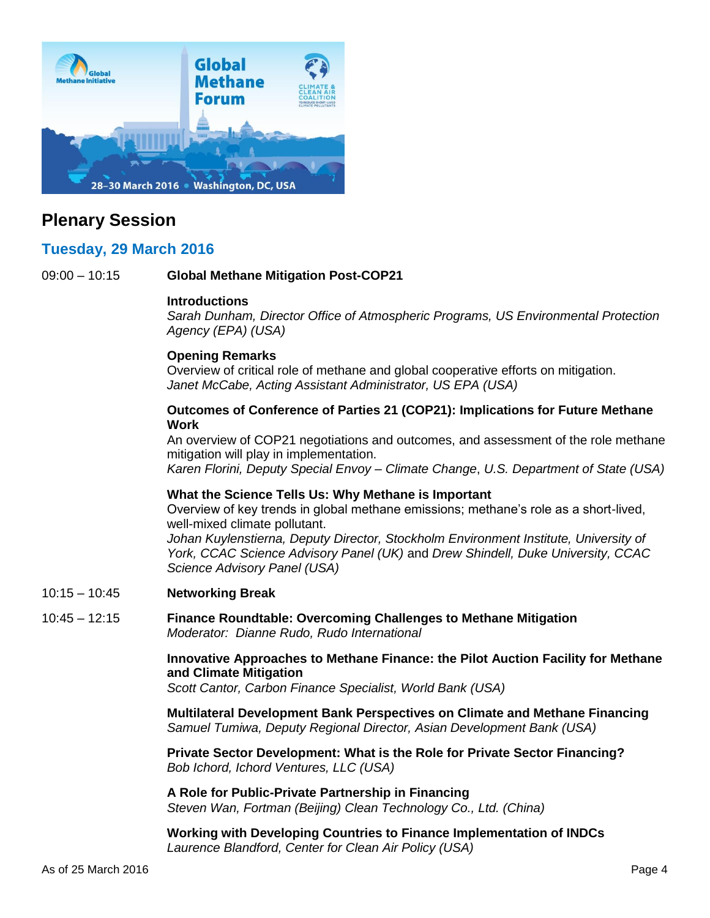<span id="page-3-0"></span>

# **Plenary Session**

# **Tuesday, 29 March 2016**

09:00 – 10:15 **Global Methane Mitigation Post-COP21**

### **Introductions**

*Sarah Dunham, Director Office of Atmospheric Programs, US Environmental Protection Agency (EPA) (USA)*

## **Opening Remarks**

Overview of critical role of methane and global cooperative efforts on mitigation. *Janet McCabe, Acting Assistant Administrator, US EPA (USA)*

### **Outcomes of Conference of Parties 21 (COP21): Implications for Future Methane Work**

An overview of COP21 negotiations and outcomes, and assessment of the role methane mitigation will play in implementation.

*Karen Florini, Deputy Special Envoy – Climate Change*, *U.S. Department of State (USA)*

### **What the Science Tells Us: Why Methane is Important**

Overview of key trends in global methane emissions; methane's role as a short-lived, well-mixed climate pollutant.

Johan Kuylenstierna, Deputy Director, Stockholm Environment Institute, University of *York, CCAC Science Advisory Panel (UK)* and *Drew Shindell, Duke University, CCAC Science Advisory Panel (USA)*

10:15 – 10:45 **Networking Break**

### 10:45 – 12:15 **Finance Roundtable: Overcoming Challenges to Methane Mitigation** *Moderator: Dianne Rudo, Rudo International*

**Innovative Approaches to Methane Finance: the Pilot Auction Facility for Methane and Climate Mitigation** 

*Scott Cantor, Carbon Finance Specialist, World Bank (USA)*

**Multilateral Development Bank Perspectives on Climate and Methane Financing** *Samuel Tumiwa, Deputy Regional Director, Asian Development Bank (USA)*

**Private Sector Development: What is the Role for Private Sector Financing?** *Bob Ichord, Ichord Ventures, LLC (USA)*

**A Role for Public-Private Partnership in Financing** *Steven Wan, Fortman (Beijing) Clean Technology Co., Ltd. (China)* 

**Working with Developing Countries to Finance Implementation of INDCs** *Laurence Blandford, Center for Clean Air Policy (USA)*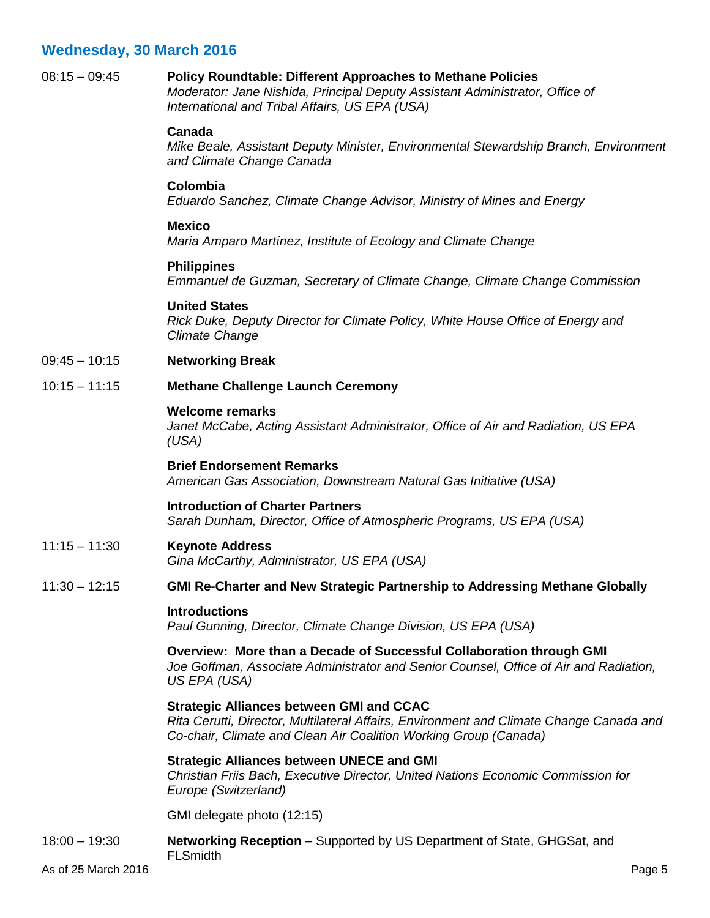## <span id="page-4-0"></span>08:15 – 09:45 **Policy Roundtable: Different Approaches to Methane Policies**

*Moderator: Jane Nishida, Principal Deputy Assistant Administrator, Office of International and Tribal Affairs, US EPA (USA)*

### **Canada**

*Mike Beale, Assistant Deputy Minister, Environmental Stewardship Branch, Environment and Climate Change Canada*

### **Colombia**

*Eduardo Sanchez, Climate Change Advisor, Ministry of Mines and Energy*

### **Mexico**

*Maria Amparo Martínez, Institute of Ecology and Climate Change*

### **Philippines**

*Emmanuel de Guzman, Secretary of Climate Change, Climate Change Commission*

### **United States**

*Rick Duke, Deputy Director for Climate Policy, White House Office of Energy and Climate Change*

09:45 – 10:15 **Networking Break**

### 10:15 – 11:15 **Methane Challenge Launch Ceremony**

### **Welcome remarks**

*Janet McCabe, Acting Assistant Administrator, Office of Air and Radiation, US EPA (USA)*

### **Brief Endorsement Remarks**

*American Gas Association, Downstream Natural Gas Initiative (USA)*

### **Introduction of Charter Partners**

*Sarah Dunham, Director, Office of Atmospheric Programs, US EPA (USA)*

## 11:15 – 11:30 **Keynote Address**

*Gina McCarthy, Administrator, US EPA (USA)*

### 11:30 – 12:15 **GMI Re-Charter and New Strategic Partnership to Addressing Methane Globally**

### **Introductions**

*Paul Gunning, Director, Climate Change Division, US EPA (USA)*

### **Overview: More than a Decade of Successful Collaboration through GMI**

*Joe Goffman, Associate Administrator and Senior Counsel, Office of Air and Radiation, US EPA (USA)*

### **Strategic Alliances between GMI and CCAC**

*Rita Cerutti, Director, Multilateral Affairs, Environment and Climate Change Canada and Co-chair, Climate and Clean Air Coalition Working Group (Canada)*

### **Strategic Alliances between UNECE and GMI**

*Christian Friis Bach, Executive Director, United Nations Economic Commission for Europe (Switzerland)*

GMI delegate photo (12:15)

#### 18:00 – 19:30 **Networking Reception** – Supported by US Department of State, GHGSat, and **FLSmidth**

As of 25 March 2016 Page 5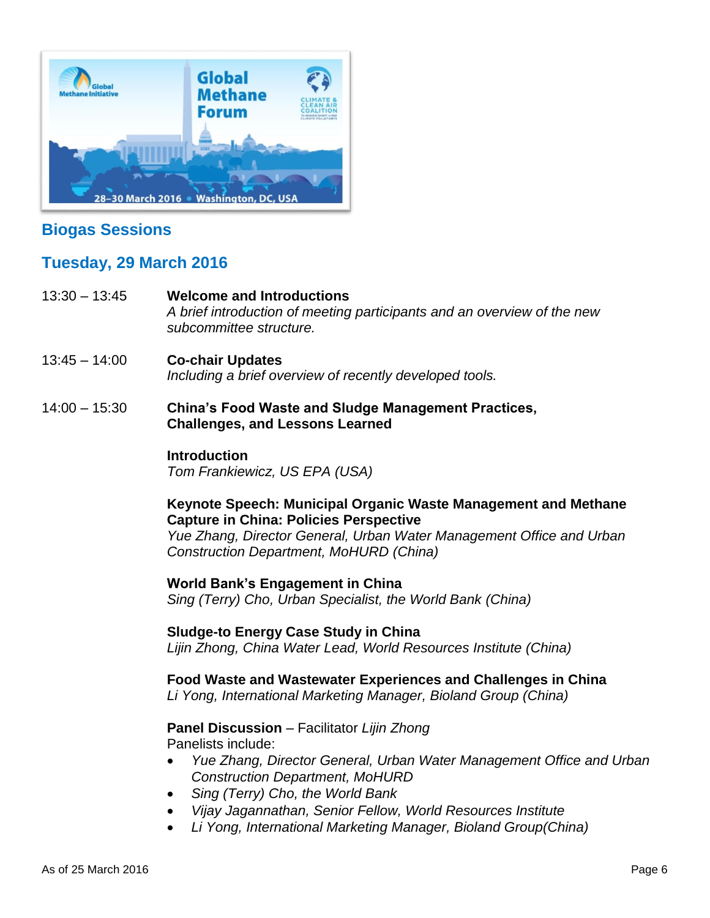

# **Biogas Sessions**

# **Tuesday, 29 March 2016**

- 13:30 13:45 **Welcome and Introductions** *A brief introduction of meeting participants and an overview of the new subcommittee structure.*
- 13:45 14:00 **Co-chair Updates** *Including a brief overview of recently developed tools.*
- 14:00 15:30 **China's Food Waste and Sludge Management Practices, Challenges, and Lessons Learned**

## **Introduction**

*Tom Frankiewicz, US EPA (USA)*

# **Keynote Speech: Municipal Organic Waste Management and Methane Capture in China: Policies Perspective**

*Yue Zhang, Director General, Urban Water Management Office and Urban Construction Department, MoHURD (China)*

## **World Bank's Engagement in China**

*Sing (Terry) Cho, Urban Specialist, the World Bank (China)*

## **Sludge-to Energy Case Study in China** *Lijin Zhong, China Water Lead, World Resources Institute (China)*

**Food Waste and Wastewater Experiences and Challenges in China** *Li Yong, International Marketing Manager, Bioland Group (China)*

### **Panel Discussion** – Facilitator *Lijin Zhong* Panelists include:

- *Yue Zhang, Director General, Urban Water Management Office and Urban Construction Department, MoHURD*
- *Sing (Terry) Cho, the World Bank*
- *Vijay Jagannathan, Senior Fellow, World Resources Institute*
- *Li Yong, International Marketing Manager, Bioland Group(China)*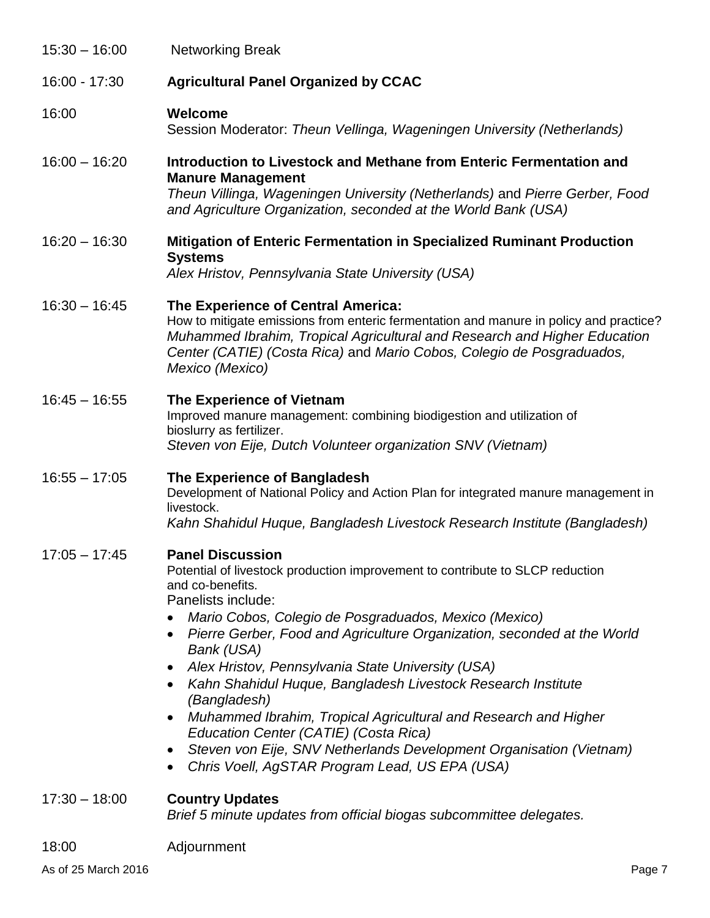| $15:30 - 16:00$ | <b>Networking Break</b>                                                                                                                                                                                                                                                                                                                                                                                                                                                                                                                                                                                                                                                                                                            |  |
|-----------------|------------------------------------------------------------------------------------------------------------------------------------------------------------------------------------------------------------------------------------------------------------------------------------------------------------------------------------------------------------------------------------------------------------------------------------------------------------------------------------------------------------------------------------------------------------------------------------------------------------------------------------------------------------------------------------------------------------------------------------|--|
| 16:00 - 17:30   | <b>Agricultural Panel Organized by CCAC</b>                                                                                                                                                                                                                                                                                                                                                                                                                                                                                                                                                                                                                                                                                        |  |
| 16:00           | Welcome<br>Session Moderator: Theun Vellinga, Wageningen University (Netherlands)                                                                                                                                                                                                                                                                                                                                                                                                                                                                                                                                                                                                                                                  |  |
| $16:00 - 16:20$ | Introduction to Livestock and Methane from Enteric Fermentation and<br><b>Manure Management</b><br>Theun Villinga, Wageningen University (Netherlands) and Pierre Gerber, Food<br>and Agriculture Organization, seconded at the World Bank (USA)                                                                                                                                                                                                                                                                                                                                                                                                                                                                                   |  |
| $16:20 - 16:30$ | <b>Mitigation of Enteric Fermentation in Specialized Ruminant Production</b><br><b>Systems</b><br>Alex Hristov, Pennsylvania State University (USA)                                                                                                                                                                                                                                                                                                                                                                                                                                                                                                                                                                                |  |
| $16:30 - 16:45$ | The Experience of Central America:<br>How to mitigate emissions from enteric fermentation and manure in policy and practice?<br>Muhammed Ibrahim, Tropical Agricultural and Research and Higher Education<br>Center (CATIE) (Costa Rica) and Mario Cobos, Colegio de Posgraduados,<br>Mexico (Mexico)                                                                                                                                                                                                                                                                                                                                                                                                                              |  |
| $16:45 - 16:55$ | The Experience of Vietnam<br>Improved manure management: combining biodigestion and utilization of<br>bioslurry as fertilizer.<br>Steven von Eije, Dutch Volunteer organization SNV (Vietnam)                                                                                                                                                                                                                                                                                                                                                                                                                                                                                                                                      |  |
| $16:55 - 17:05$ | The Experience of Bangladesh<br>Development of National Policy and Action Plan for integrated manure management in<br>livestock.<br>Kahn Shahidul Huque, Bangladesh Livestock Research Institute (Bangladesh)                                                                                                                                                                                                                                                                                                                                                                                                                                                                                                                      |  |
| $17:05 - 17:45$ | <b>Panel Discussion</b><br>Potential of livestock production improvement to contribute to SLCP reduction<br>and co-benefits.<br>Panelists include:<br>Mario Cobos, Colegio de Posgraduados, Mexico (Mexico)<br>Pierre Gerber, Food and Agriculture Organization, seconded at the World<br>$\bullet$<br>Bank (USA)<br>Alex Hristov, Pennsylvania State University (USA)<br>$\bullet$<br>Kahn Shahidul Huque, Bangladesh Livestock Research Institute<br>(Bangladesh)<br>Muhammed Ibrahim, Tropical Agricultural and Research and Higher<br>$\bullet$<br>Education Center (CATIE) (Costa Rica)<br>Steven von Eije, SNV Netherlands Development Organisation (Vietnam)<br>Chris Voell, AgSTAR Program Lead, US EPA (USA)<br>$\bullet$ |  |
| $17:30 - 18:00$ | <b>Country Updates</b><br>Brief 5 minute updates from official biogas subcommittee delegates.                                                                                                                                                                                                                                                                                                                                                                                                                                                                                                                                                                                                                                      |  |
| 18:00           | Adjournment                                                                                                                                                                                                                                                                                                                                                                                                                                                                                                                                                                                                                                                                                                                        |  |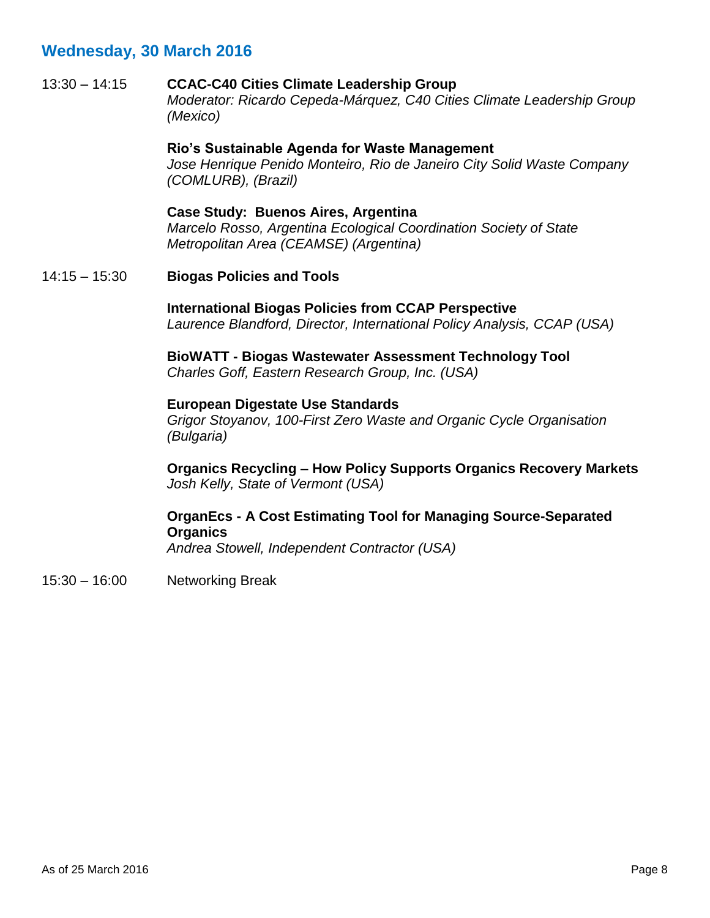13:30 – 14:15 **CCAC-C40 Cities Climate Leadership Group** *Moderator: Ricardo Cepeda-Márquez, C40 Cities Climate Leadership Group (Mexico)*

> **Rio's Sustainable Agenda for Waste Management** *Jose Henrique Penido Monteiro, Rio de Janeiro City Solid Waste Company (COMLURB), (Brazil)*

**Case Study: Buenos Aires, Argentina** *Marcelo Rosso, Argentina Ecological Coordination Society of State Metropolitan Area (CEAMSE) (Argentina)*

14:15 – 15:30 **Biogas Policies and Tools**

**International Biogas Policies from CCAP Perspective** *Laurence Blandford, Director, International Policy Analysis, CCAP (USA)*

**BioWATT - Biogas Wastewater Assessment Technology Tool** *Charles Goff, Eastern Research Group, Inc. (USA)*

### **European Digestate Use Standards**

*Grigor Stoyanov, 100-First Zero Waste and Organic Cycle Organisation (Bulgaria)* 

**Organics Recycling – How Policy Supports Organics Recovery Markets** *Josh Kelly, State of Vermont (USA)*

# **OrganEcs - A Cost Estimating Tool for Managing Source-Separated Organics**

*Andrea Stowell, Independent Contractor (USA)*

15:30 – 16:00 Networking Break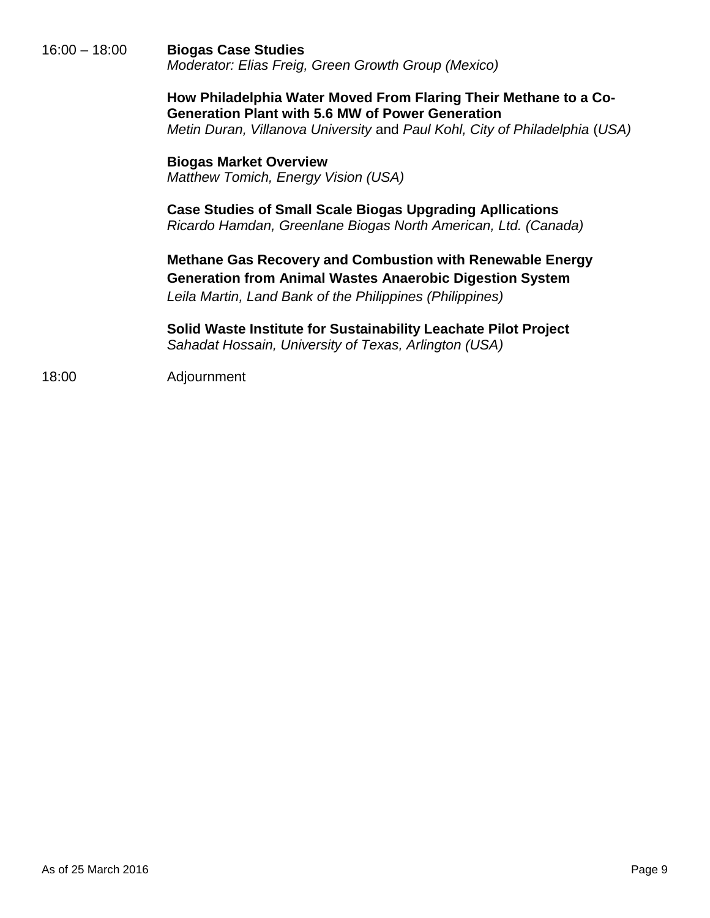16:00 – 18:00 **Biogas Case Studies** *Moderator: Elias Freig, Green Growth Group (Mexico)*

> **How Philadelphia Water Moved From Flaring Their Methane to a Co-Generation Plant with 5.6 MW of Power Generation** *Metin Duran, Villanova University* and *Paul Kohl, City of Philadelphia* (*USA)*

**Biogas Market Overview** *Matthew Tomich, Energy Vision (USA)*

**Case Studies of Small Scale Biogas Upgrading Apllications** *Ricardo Hamdan, Greenlane Biogas North American, Ltd. (Canada)*

**Methane Gas Recovery and Combustion with Renewable Energy Generation from Animal Wastes Anaerobic Digestion System** *Leila Martin, Land Bank of the Philippines (Philippines)*

**Solid Waste Institute for Sustainability Leachate Pilot Project** *Sahadat Hossain, University of Texas, Arlington (USA)*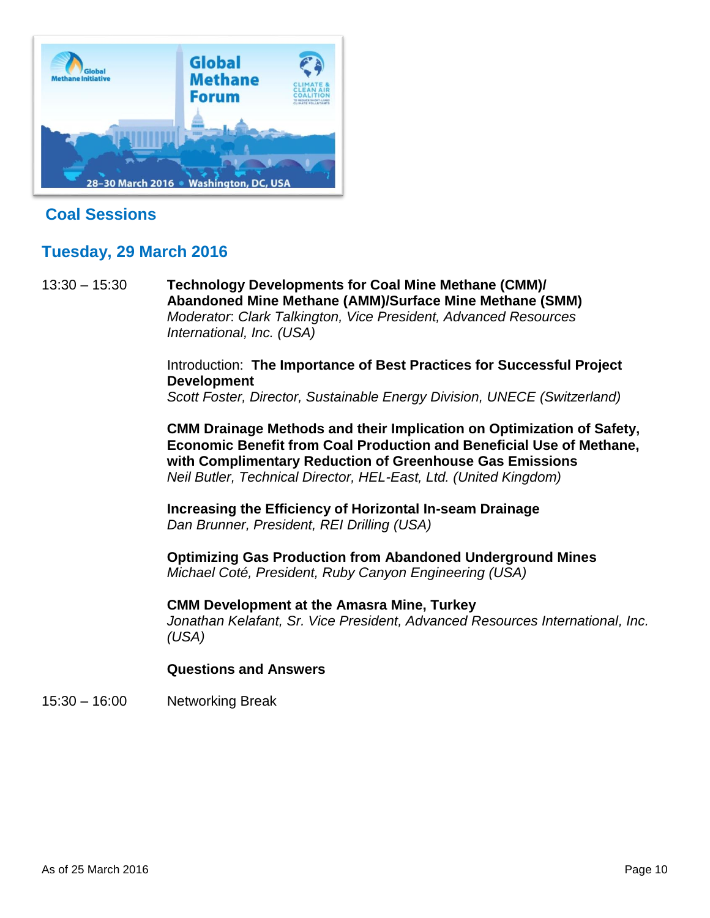

# **Coal Sessions**

# **Tuesday, 29 March 2016**

13:30 – 15:30 **Technology Developments for Coal Mine Methane (CMM)/ Abandoned Mine Methane (AMM)/Surface Mine Methane (SMM)** *Moderator*: *Clark Talkington, Vice President, Advanced Resources International, Inc. (USA)*

> Introduction: **The Importance of Best Practices for Successful Project Development**

> *Scott Foster, Director, Sustainable Energy Division, UNECE (Switzerland)*

**CMM Drainage Methods and their Implication on Optimization of Safety, Economic Benefit from Coal Production and Beneficial Use of Methane, with Complimentary Reduction of Greenhouse Gas Emissions** *Neil Butler, Technical Director, HEL-East, Ltd. (United Kingdom)*

**Increasing the Efficiency of Horizontal In-seam Drainage**  *Dan Brunner, President, REI Drilling (USA)*

**Optimizing Gas Production from Abandoned Underground Mines** *Michael Coté, President, Ruby Canyon Engineering (USA)*

**CMM Development at the Amasra Mine, Turkey** *Jonathan Kelafant, Sr. Vice President, Advanced Resources International, Inc. (USA)*

## **Questions and Answers**

15:30 – 16:00 Networking Break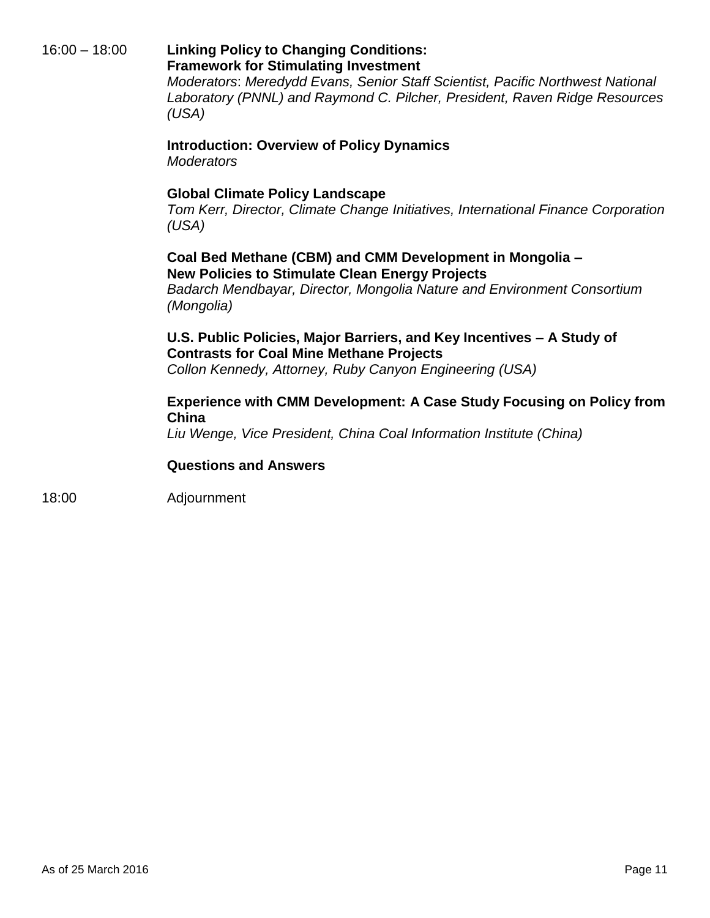# 16:00 – 18:00 **Linking Policy to Changing Conditions: Framework for Stimulating Investment**

*Moderators*: *Meredydd Evans, Senior Staff Scientist, Pacific Northwest National Laboratory (PNNL) and Raymond C. Pilcher, President, Raven Ridge Resources (USA)*

## **Introduction: Overview of Policy Dynamics**  *Moderators*

# **Global Climate Policy Landscape**

*Tom Kerr, Director, Climate Change Initiatives, International Finance Corporation (USA)*

# **Coal Bed Methane (CBM) and CMM Development in Mongolia – New Policies to Stimulate Clean Energy Projects**

*Badarch Mendbayar, Director, Mongolia Nature and Environment Consortium (Mongolia)*

# **U.S. Public Policies, Major Barriers, and Key Incentives – A Study of Contrasts for Coal Mine Methane Projects**

*Collon Kennedy, Attorney, Ruby Canyon Engineering (USA)*

# **Experience with CMM Development: A Case Study Focusing on Policy from China**

*Liu Wenge, Vice President, China Coal Information Institute (China)*

# **Questions and Answers**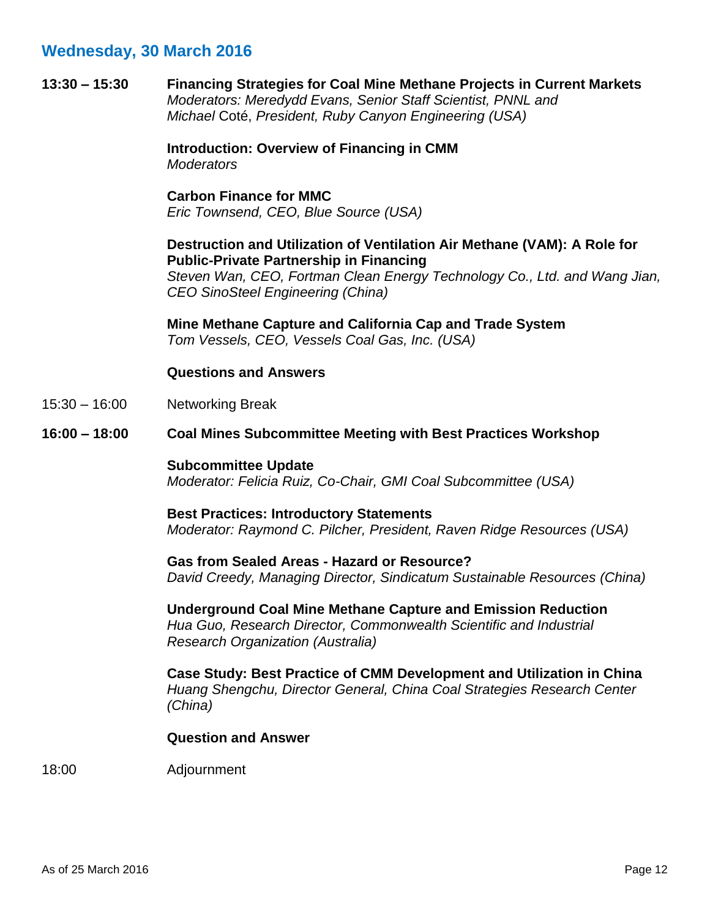**13:30 – 15:30 Financing Strategies for Coal Mine Methane Projects in Current Markets** *Moderators: Meredydd Evans, Senior Staff Scientist, PNNL and Michael* Coté, *President, Ruby Canyon Engineering (USA)*

> **Introduction: Overview of Financing in CMM**  *Moderators*

**Carbon Finance for MMC** *Eric Townsend, CEO, Blue Source (USA)*

## **Destruction and Utilization of Ventilation Air Methane (VAM): A Role for Public-Private Partnership in Financing**

*Steven Wan, CEO, Fortman Clean Energy Technology Co., Ltd. and Wang Jian, CEO SinoSteel Engineering (China)*

**Mine Methane Capture and California Cap and Trade System** *Tom Vessels, CEO, Vessels Coal Gas, Inc. (USA)*

## **Questions and Answers**

- 15:30 16:00 Networking Break
- **16:00 – 18:00 Coal Mines Subcommittee Meeting with Best Practices Workshop**

### **Subcommittee Update**

*Moderator: Felicia Ruiz, Co-Chair, GMI Coal Subcommittee (USA)*

## **Best Practices: Introductory Statements** *Moderator: Raymond C. Pilcher, President, Raven Ridge Resources (USA)*

**Gas from Sealed Areas - Hazard or Resource?** *David Creedy, Managing Director, Sindicatum Sustainable Resources (China)*

**Underground Coal Mine Methane Capture and Emission Reduction** *Hua Guo, Research Director, Commonwealth Scientific and Industrial Research Organization (Australia)*

**Case Study: Best Practice of CMM Development and Utilization in China** *Huang Shengchu, Director General, China Coal Strategies Research Center (China)*

## **Question and Answer**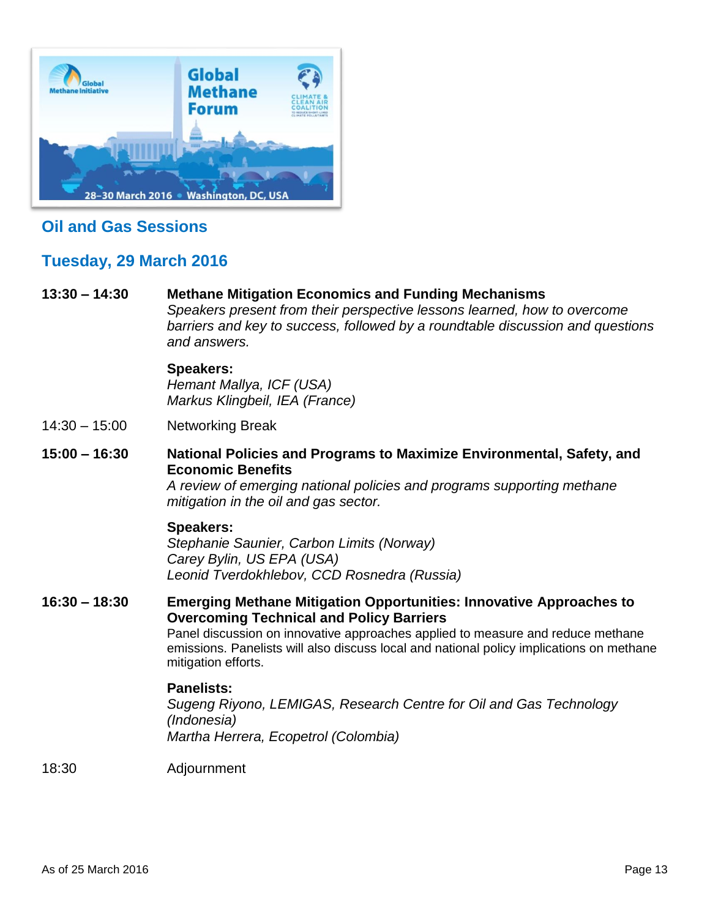<span id="page-12-2"></span>

# **Oil and Gas Sessions**

# **Tuesday, 29 March 2016**

## **13:30 – 14:30 Methane Mitigation Economics and Funding Mechanisms**

<span id="page-12-0"></span>*Speakers present from their perspective lessons learned, how to overcome barriers and key to success, followed by a roundtable discussion and questions and answers.*

## **Speakers:**

*Hemant Mallya, ICF (USA) Markus Klingbeil, IEA (France)*

<span id="page-12-1"></span>14:30 – 15:00 Networking Break

# **15:00 – 16:30 National Policies and Programs to Maximize Environmental, Safety, and Economic Benefits**

*A review of emerging national policies and programs supporting methane mitigation in the oil and gas sector.* 

## **Speakers:**

*Stephanie Saunier, Carbon Limits (Norway) Carey Bylin, US EPA (USA) Leonid Tverdokhlebov, CCD Rosnedra (Russia)*

# **16:30 – 18:30 Emerging Methane Mitigation Opportunities: Innovative Approaches to Overcoming Technical and Policy Barriers**

Panel discussion on innovative approaches applied to measure and reduce methane emissions. Panelists will also discuss local and national policy implications on methane mitigation efforts.

## **Panelists:**

*Sugeng Riyono, LEMIGAS, Research Centre for Oil and Gas Technology (Indonesia) Martha Herrera, Ecopetrol (Colombia)*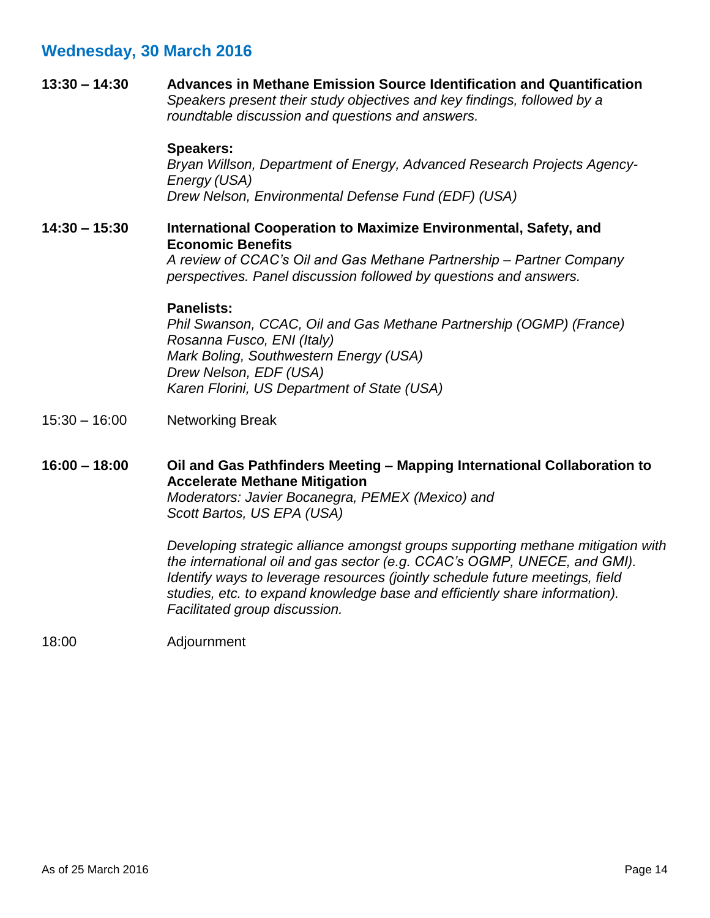**13:30 – 14:30 Advances in Methane Emission Source Identification and Quantification** *Speakers present their study objectives and key findings, followed by a roundtable discussion and questions and answers.*

### **Speakers:**

*Bryan Willson, Department of Energy, Advanced Research Projects Agency-Energy (USA) Drew Nelson, Environmental Defense Fund (EDF) (USA)*

## <span id="page-13-0"></span>**14:30 – 15:30 International Cooperation to Maximize Environmental, Safety, and Economic Benefits**

*A review of CCAC's Oil and Gas Methane Partnership – Partner Company perspectives. Panel discussion followed by questions and answers.* 

### **Panelists:**

*Phil Swanson, CCAC, Oil and Gas Methane Partnership (OGMP) (France) Rosanna Fusco, ENI (Italy) Mark Boling, Southwestern Energy (USA) Drew Nelson, EDF (USA) Karen Florini, US Department of State (USA)*

- 15:30 16:00 Networking Break
- **16:00 – 18:00 Oil and Gas Pathfinders Meeting – Mapping International Collaboration to Accelerate Methane Mitigation** *Moderators: Javier Bocanegra, PEMEX (Mexico) and*

*Scott Bartos, US EPA (USA)*

*Developing strategic alliance amongst groups supporting methane mitigation with the international oil and gas sector (e.g. CCAC's OGMP, UNECE, and GMI). Identify ways to leverage resources (jointly schedule future meetings, field studies, etc. to expand knowledge base and efficiently share information). Facilitated group discussion.*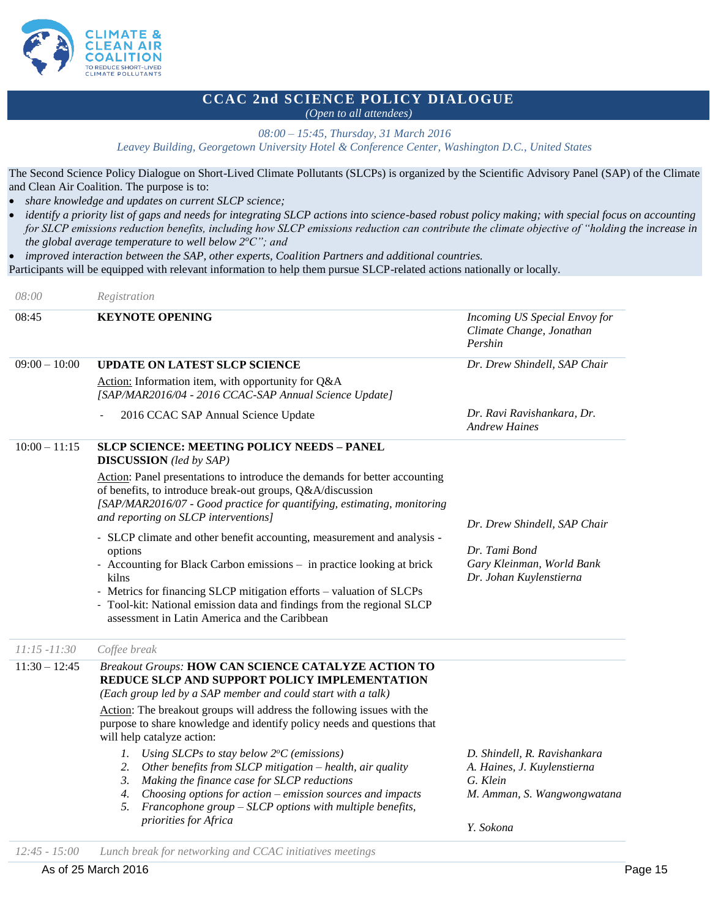

# **CCAC 2nd SCIENCE POLICY DIALOGUE**

*(Open to all attendees)*

*08:00 – 15:45, Thursday, 31 March 2016 Leavey Building, Georgetown University Hotel & Conference Center, Washington D.C., United States*

The Second Science Policy Dialogue on Short-Lived Climate Pollutants (SLCPs) is organized by the Scientific Advisory Panel (SAP) of the Climate and Clean Air Coalition. The purpose is to:

*share knowledge and updates on current SLCP science;* 

- *identify a priority list of gaps and needs for integrating SLCP actions into science-based robust policy making; with special focus on accounting for SLCP emissions reduction benefits, including how SLCP emissions reduction can contribute the climate objective of "holding the increase in the global average temperature to well below 2<sup>o</sup>C"; and*
- *improved interaction between the SAP, other experts, Coalition Partners and additional countries.*

Participants will be equipped with relevant information to help them pursue SLCP-related actions nationally or locally.

| 08:00           | Registration                                                                                                                                                                                                                                                                                                                                                                                                                                                                                                                                                                                                                                                                                                                   |                                                                                                                     |
|-----------------|--------------------------------------------------------------------------------------------------------------------------------------------------------------------------------------------------------------------------------------------------------------------------------------------------------------------------------------------------------------------------------------------------------------------------------------------------------------------------------------------------------------------------------------------------------------------------------------------------------------------------------------------------------------------------------------------------------------------------------|---------------------------------------------------------------------------------------------------------------------|
| 08:45           | <b>KEYNOTE OPENING</b>                                                                                                                                                                                                                                                                                                                                                                                                                                                                                                                                                                                                                                                                                                         | Incoming US Special Envoy for<br>Climate Change, Jonathan<br>Pershin                                                |
| $09:00 - 10:00$ | <b>UPDATE ON LATEST SLCP SCIENCE</b><br>Action: Information item, with opportunity for Q&A<br>[SAP/MAR2016/04 - 2016 CCAC-SAP Annual Science Update]                                                                                                                                                                                                                                                                                                                                                                                                                                                                                                                                                                           | Dr. Drew Shindell, SAP Chair                                                                                        |
|                 | 2016 CCAC SAP Annual Science Update                                                                                                                                                                                                                                                                                                                                                                                                                                                                                                                                                                                                                                                                                            | Dr. Ravi Ravishankara, Dr.<br><b>Andrew Haines</b>                                                                  |
| $10:00 - 11:15$ | <b>SLCP SCIENCE: MEETING POLICY NEEDS - PANEL</b><br><b>DISCUSSION</b> (led by SAP)<br>Action: Panel presentations to introduce the demands for better accounting<br>of benefits, to introduce break-out groups, Q&A/discussion<br>[SAP/MAR2016/07 - Good practice for quantifying, estimating, monitoring<br>and reporting on SLCP interventions]<br>- SLCP climate and other benefit accounting, measurement and analysis -<br>options<br>- Accounting for Black Carbon emissions - in practice looking at brick<br>kilns<br>- Metrics for financing SLCP mitigation efforts - valuation of SLCPs<br>- Tool-kit: National emission data and findings from the regional SLCP<br>assessment in Latin America and the Caribbean | Dr. Drew Shindell, SAP Chair<br>Dr. Tami Bond<br>Gary Kleinman, World Bank<br>Dr. Johan Kuylenstierna               |
| $11:15 - 11:30$ | Coffee break                                                                                                                                                                                                                                                                                                                                                                                                                                                                                                                                                                                                                                                                                                                   |                                                                                                                     |
| $11:30 - 12:45$ | <b>Breakout Groups: HOW CAN SCIENCE CATALYZE ACTION TO</b><br>REDUCE SLCP AND SUPPORT POLICY IMPLEMENTATION<br>(Each group led by a SAP member and could start with a talk)<br>Action: The breakout groups will address the following issues with the<br>purpose to share knowledge and identify policy needs and questions that<br>will help catalyze action:<br>Using SLCPs to stay below $2^{\circ}C$ (emissions)<br>1.<br>Other benefits from SLCP mitigation - health, air quality<br>2.<br>Making the finance case for SLCP reductions<br>3.<br>Choosing options for $action$ – emission sources and impacts<br>4.<br>Francophone group - SLCP options with multiple benefits,<br>5.<br>priorities for Africa            | D. Shindell, R. Ravishankara<br>A. Haines, J. Kuylenstierna<br>G. Klein<br>M. Amman, S. Wangwongwatana<br>Y. Sokona |
| $12:45 - 15:00$ | Lunch break for networking and CCAC initiatives meetings                                                                                                                                                                                                                                                                                                                                                                                                                                                                                                                                                                                                                                                                       |                                                                                                                     |